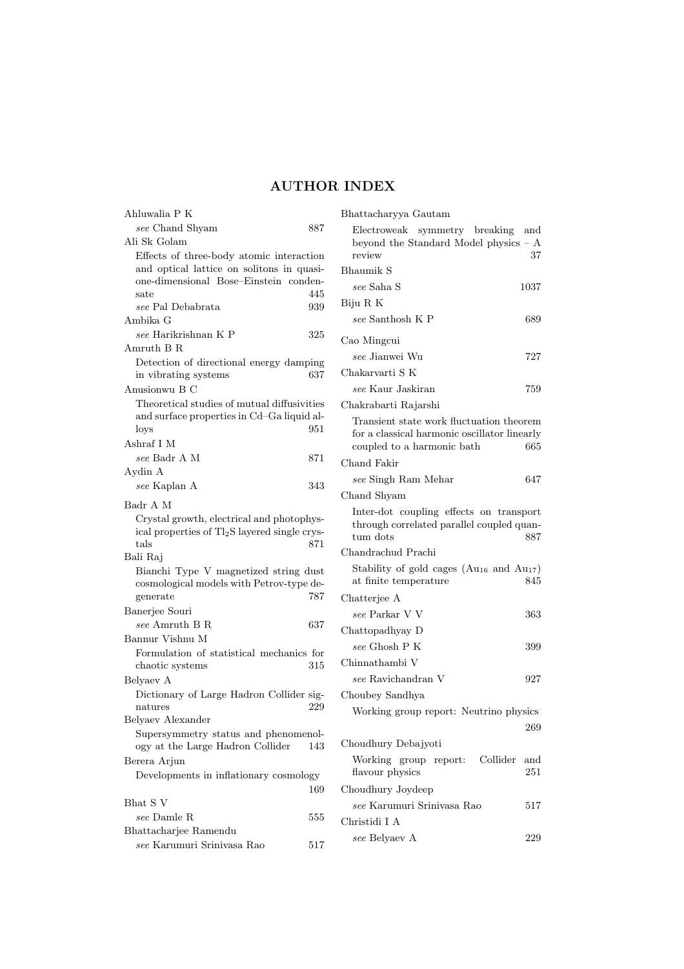## AUTHOR INDEX

| Ahluwalia P K                                                                                                                   |     |
|---------------------------------------------------------------------------------------------------------------------------------|-----|
| see Chand Shyam                                                                                                                 | 887 |
| Ali Sk Golam                                                                                                                    |     |
| Effects of three-body atomic interaction<br>and optical lattice on solitons in quasi-<br>one-dimensional Bose-Einstein conden-  |     |
| sate                                                                                                                            | 445 |
| see Pal Debabrata                                                                                                               | 939 |
| Ambika G                                                                                                                        |     |
| see Harikrishnan K P                                                                                                            | 325 |
| Amruth B R                                                                                                                      |     |
| Detection of directional energy damping<br>in vibrating systems                                                                 | 637 |
| Anusionwu B C                                                                                                                   |     |
| Theoretical studies of mutual diffusivities<br>and surface properties in Cd-Ga liquid al-<br>loys                               | 951 |
| Ashraf I M                                                                                                                      |     |
| see Badr A M                                                                                                                    | 871 |
| Aydin A<br>see Kaplan A                                                                                                         | 343 |
| Badr A M                                                                                                                        |     |
| Crystal growth, electrical and photophys-<br>ical properties of Tl <sub>2</sub> S layered single crys-<br>$^{tals}$<br>Bali Raj | 871 |
| Bianchi Type V magnetized string dust<br>cosmological models with Petrov-type de-<br>generate                                   | 787 |
| Banerjee Souri                                                                                                                  |     |
| see Amruth B R<br>Bannur Vishnu M                                                                                               | 637 |
| Formulation of statistical mechanics for<br>chaotic systems                                                                     | 315 |
| Belyaev A<br>Dictionary of Large Hadron Collider sig-                                                                           |     |
| natures                                                                                                                         | 229 |
| Belyaev Alexander<br>Supersymmetry status and phenomenol-<br>ogy at the Large Hadron Collider                                   | 143 |
| Berera Arjun                                                                                                                    |     |
| Developments in inflationary cosmology                                                                                          | 169 |
| Bhat S V                                                                                                                        |     |
| see Damle R                                                                                                                     | 555 |
| Bhattacharjee Ramendu                                                                                                           |     |
| see Karumuri Srinivasa Rao                                                                                                      | 517 |
|                                                                                                                                 |     |

| Bhattacharyya Gautam                                                                                    |           |
|---------------------------------------------------------------------------------------------------------|-----------|
| Electroweak symmetry breaking<br>beyond the Standard Model physics - A<br>review                        | and<br>37 |
| <b>Bhaumik S</b>                                                                                        |           |
| see Saha S                                                                                              | 1037      |
| Biju R K                                                                                                |           |
| see Santhosh K P                                                                                        | 689       |
| Cao Mingcui                                                                                             |           |
| see Jianwei Wu                                                                                          | 727       |
| Chakarvarti S K                                                                                         |           |
| see Kaur Jaskiran                                                                                       | 759       |
| Chakrabarti Rajarshi                                                                                    |           |
| Transient state work fluctuation theorem<br>for a classical harmonic oscillator linearly                |           |
| coupled to a harmonic bath                                                                              | 665       |
| Chand Fakir                                                                                             |           |
| see Singh Ram Mehar                                                                                     | 647       |
| Chand Shyam                                                                                             |           |
| Inter-dot coupling effects on transport<br>through correlated parallel coupled quan-<br>tum dots<br>887 |           |
| Chandrachud Prachi                                                                                      |           |
| Stability of gold cages ( $Au_{16}$ and $Au_{17}$ )<br>at finite temperature                            | 845       |
| Chatterjee A                                                                                            |           |
| see Parkar V V                                                                                          | 363       |
| Chattopadhyay D                                                                                         |           |
| see Ghosh P K                                                                                           | 399       |
| Chinnathambi V                                                                                          |           |
| see Ravichandran V                                                                                      | 927       |
| Choubey Sandhya                                                                                         |           |
| Working group report: Neutrino physics                                                                  | 269       |
| Choudhury Debajyoti                                                                                     |           |
| Collider<br>Working group report:                                                                       | and       |
| flavour physics                                                                                         | 251       |
| Choudhury Joydeep                                                                                       |           |
| see Karumuri Srinivasa Rao                                                                              | 517       |
| Christidi I A                                                                                           |           |
| see Belyaev A                                                                                           | 229       |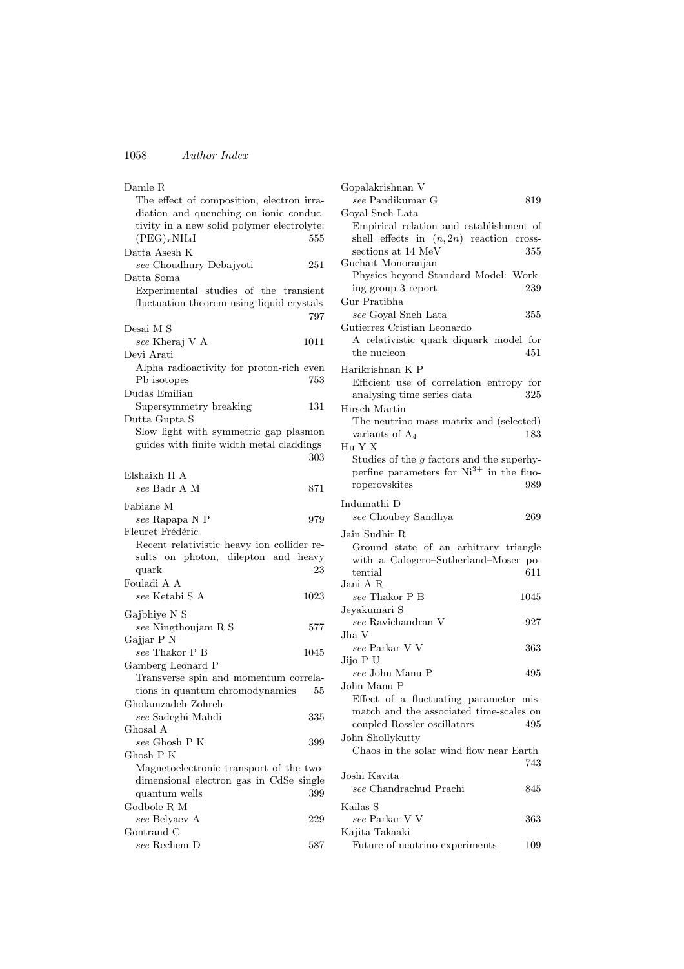| Damle R                                    |      |
|--------------------------------------------|------|
| The effect of composition, electron irra-  |      |
| diation and quenching on ionic conduc-     |      |
| tivity in a new solid polymer electrolyte: |      |
| $(PEG)_xNH_4I$                             | 555  |
|                                            |      |
| Datta Asesh K                              |      |
| see Choudhury Debajyoti                    | 251  |
| Datta Soma                                 |      |
| Experimental studies of the transient      |      |
| fluctuation theorem using liquid crystals  |      |
|                                            | 797  |
| Desai M S                                  |      |
| see Kheraj V A                             | 1011 |
| Devi Arati                                 |      |
| Alpha radioactivity for proton-rich even   |      |
|                                            | 753  |
| Pb isotopes                                |      |
| Dudas Emilian                              |      |
| Supersymmetry breaking                     | 131  |
| Dutta Gupta S                              |      |
| Slow light with symmetric gap plasmon      |      |
| guides with finite width metal claddings   |      |
|                                            | 303  |
|                                            |      |
| Elshaikh H A                               |      |
| see Badr A M                               | 871  |
| Fabiane M                                  |      |
| see Rapapa N P                             | 979  |
|                                            |      |
| Fleuret Frédéric                           |      |
| Recent relativistic heavy ion collider re- |      |
| sults on photon, dilepton and heavy        |      |
| quark                                      | 23   |
| Fouladi A A                                |      |
| see Ketabi S A                             | 1023 |
|                                            |      |
| Gajbhiye N S                               |      |
| $see$ Ningthoujam R S                      | 577  |
| Gajjar P N                                 |      |
| $see$ Thakor P B                           | 1045 |
| Gamberg Leonard P                          |      |
| Transverse spin and momentum correla-      |      |
| tions in quantum chromodynamics            | 55   |
| Gholamzadeh Zohreh                         |      |
| see Sadeghi Mahdi                          | 335  |
| Ghosal A                                   |      |
| see Ghosh P K                              |      |
| $G$ hosh $P K$                             | 399  |
|                                            |      |
| Magnetoelectronic transport of the two-    |      |
| dimensional electron gas in CdSe single    |      |
| quantum wells                              | 399  |
| Godbole R M                                |      |
| see Belyaev A                              | 229  |
| Gontrand C                                 |      |
| see Rechem D                               | 587  |
|                                            |      |

| Gopalakrishnan V                                     |      |
|------------------------------------------------------|------|
| see Pandikumar G                                     | 819  |
| Goyal Sneh Lata                                      |      |
| Empirical relation and establishment of              |      |
| shell effects in $(n, 2n)$ reaction cross-           |      |
| sections at 14 MeV                                   | 355  |
| Guchait Monoranjan                                   |      |
| Physics beyond Standard Model: Work-                 |      |
| ing group 3 report                                   | 239  |
| Gur Pratibha                                         |      |
| see Goyal Sneh Lata                                  | 355  |
| Gutierrez Cristian Leonardo                          |      |
| A relativistic quark-diquark model for               |      |
| the nucleon                                          | 451  |
| Harikrishnan K P                                     |      |
| Efficient use of correlation entropy for             |      |
| analysing time series data                           | 325  |
|                                                      |      |
| Hirsch Martin                                        |      |
| The neutrino mass matrix and (selected)              |      |
| variants of A <sub>4</sub>                           | 183  |
| Hu Y X                                               |      |
| Studies of the $g$ factors and the superhy-          |      |
| perfine parameters for Ni <sup>3+</sup> in the fluo- |      |
| roperovskites                                        | 989  |
| Indumathi D                                          |      |
| see Choubey Sandhya                                  | 269  |
|                                                      |      |
| Jain Sudhir R                                        |      |
| Ground state of an arbitrary triangle                |      |
| with a Calogero-Sutherland-Moser po-                 |      |
| tential                                              | 611  |
| Jani A R                                             |      |
| see Thakor P B                                       | 1045 |
| Jeyakumari S                                         |      |
| see Ravichandran V                                   | 927  |
| Jha V                                                |      |
| $see$ Parkar V V                                     | 363  |
| Jijo P U                                             |      |
| see John Manu P                                      | 495  |
| John Manu P                                          |      |
| Effect of a fluctuating parameter mis-               |      |
| match and the associated time-scales on              |      |
| coupled Rossler oscillators                          | 495  |
| John Shollykutty                                     |      |
| Chaos in the solar wind flow near Earth              |      |
|                                                      | 743  |
| Joshi Kavita                                         |      |
| see Chandrachud Prachi                               | 845  |
| Kailas S                                             |      |
| see Parkar V V                                       | 363  |
| Kajita Takaaki                                       |      |
| Future of neutrino experiments                       | 109  |
|                                                      |      |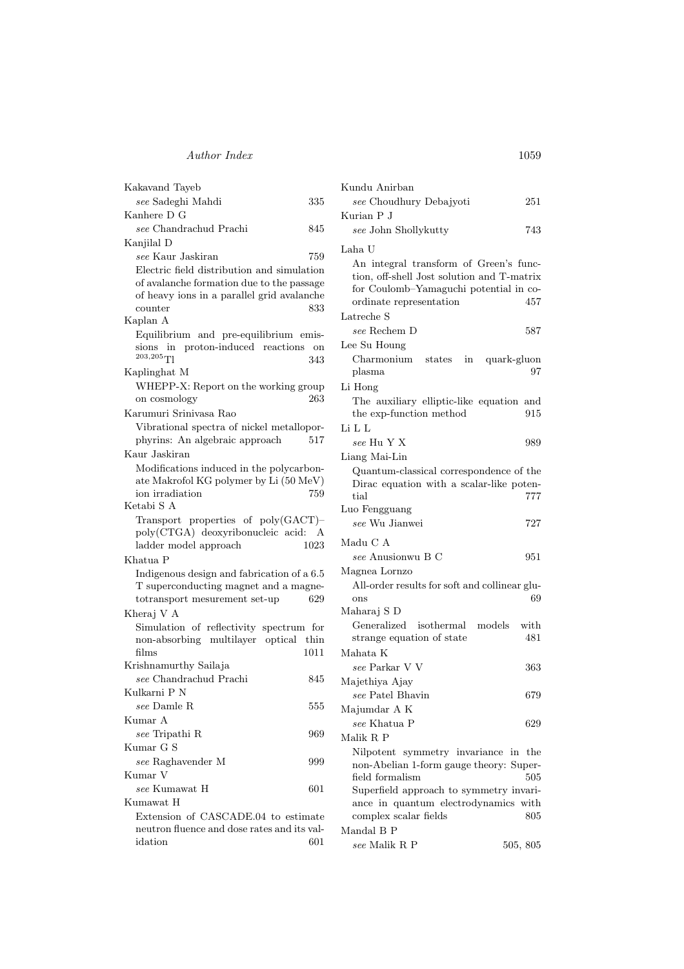## Author Index 1059

| Kakavand Tayeb                                         |                    |
|--------------------------------------------------------|--------------------|
| see Sadeghi Mahdi                                      | 335                |
| Kanhere D G                                            |                    |
| see Chandrachud Prachi                                 | 845                |
| Kanjilal D                                             |                    |
| see Kaur Jaskiran                                      | 759                |
| Electric field distribution and simulation             |                    |
| of avalanche formation due to the passage              |                    |
| of heavy ions in a parallel grid avalanche             |                    |
| counter                                                | 833                |
| Kaplan A                                               |                    |
| Equilibrium and pre-equilibrium emis-                  |                    |
| sions in proton-induced reactions<br>$^{203,205}$ Tl   | $_{\rm on}$<br>343 |
| Kaplinghat M                                           |                    |
| WHEPP-X: Report on the working group                   |                    |
| on cosmology                                           | 263                |
| Karumuri Sriniyasa Rao                                 |                    |
| Vibrational spectra of nickel metallopor-              |                    |
| phyrins: An algebraic approach                         | 517                |
| Kaur Jaskiran                                          |                    |
| Modifications induced in the polycarbon-               |                    |
| ate Makrofol KG polymer by Li (50 MeV)                 |                    |
| ion irradiation                                        | 759                |
| Ketabi S A                                             |                    |
| Transport properties of $poly(GACT)$ -                 |                    |
| poly(CTGA) deoxyribonucleic acid: A                    |                    |
| ladder model approach                                  | 1023               |
| Khatua P                                               |                    |
| Indigenous design and fabrication of a 6.5             |                    |
|                                                        |                    |
| T superconducting magnet and a magne-                  |                    |
| totransport mesurement set-up                          | 629                |
| Kheraj V A                                             |                    |
| Simulation of reflectivity spectrum for                |                    |
| non-absorbing multilayer optical thin                  |                    |
| films                                                  | 1011               |
| Krishnamurthy Sailaja                                  |                    |
| see Chandrachud Prachi                                 | 845                |
| Kulkarni P N                                           |                    |
| see Damle R                                            | 555                |
| Kumar A                                                |                    |
| see Tripathi R                                         | 969                |
| Kumar G S                                              |                    |
| see Raghavender M                                      | 999                |
| Kumar V                                                |                    |
| see Kumawat H                                          | 601                |
| Kumawat H                                              |                    |
| Extension of CASCADE.04 to estimate                    |                    |
| neutron fluence and dose rates and its val-<br>idation | 601                |

| Kundu Anirban                                                                                                                                             |     |
|-----------------------------------------------------------------------------------------------------------------------------------------------------------|-----|
| see Choudhury Debajyoti                                                                                                                                   | 251 |
| Kurian P J                                                                                                                                                |     |
| see John Shollykutty                                                                                                                                      | 743 |
| Laha U                                                                                                                                                    |     |
| An integral transform of Green's func-<br>tion, off-shell Jost solution and T-matrix<br>for Coulomb-Yamaguchi potential in co-<br>ordinate representation | 457 |
| Latreche S                                                                                                                                                |     |
| see Rechem D                                                                                                                                              | 587 |
| Lee Su Houng                                                                                                                                              |     |
| Charmonium states in quark-gluon<br>plasma                                                                                                                | 97  |
| Li Hong                                                                                                                                                   |     |
| The auxiliary elliptic-like equation and<br>the exp-function method                                                                                       | 915 |
| Li L L<br>see Hu Y X                                                                                                                                      | 989 |
| Liang Mai-Lin                                                                                                                                             |     |
| Quantum-classical correspondence of the<br>Dirac equation with a scalar-like poten-<br>tial                                                               | 777 |
| Luo Fengguang                                                                                                                                             |     |
| see Wu Jianwei                                                                                                                                            | 727 |
| Madu C A                                                                                                                                                  |     |
| see Anusionwu B C                                                                                                                                         | 951 |
| Magnea Lornzo                                                                                                                                             |     |
| All-order results for soft and collinear glu-<br>ons                                                                                                      | 69  |
| Maharaj S D                                                                                                                                               |     |
| Generalized isothermal models with                                                                                                                        |     |
| strange equation of state                                                                                                                                 | 481 |
| Mahata K                                                                                                                                                  |     |
| see Parkar V V                                                                                                                                            | 363 |
| Majethiya Ajay                                                                                                                                            |     |
| see Patel Bhavin                                                                                                                                          | 679 |
| Majumdar A K<br>see Khatua P                                                                                                                              | 629 |
| Malik R P                                                                                                                                                 |     |
| Nilpotent<br>symmetry invariance in                                                                                                                       | the |
| non-Abelian 1-form gauge theory: Super-                                                                                                                   |     |
| field formalism                                                                                                                                           | 505 |
| Superfield approach to symmetry invari-                                                                                                                   |     |
| ance in quantum electrodynamics with                                                                                                                      |     |
| complex scalar fields                                                                                                                                     | 805 |

 $see$  Malik R P  $505, 805$ 

Mandal B P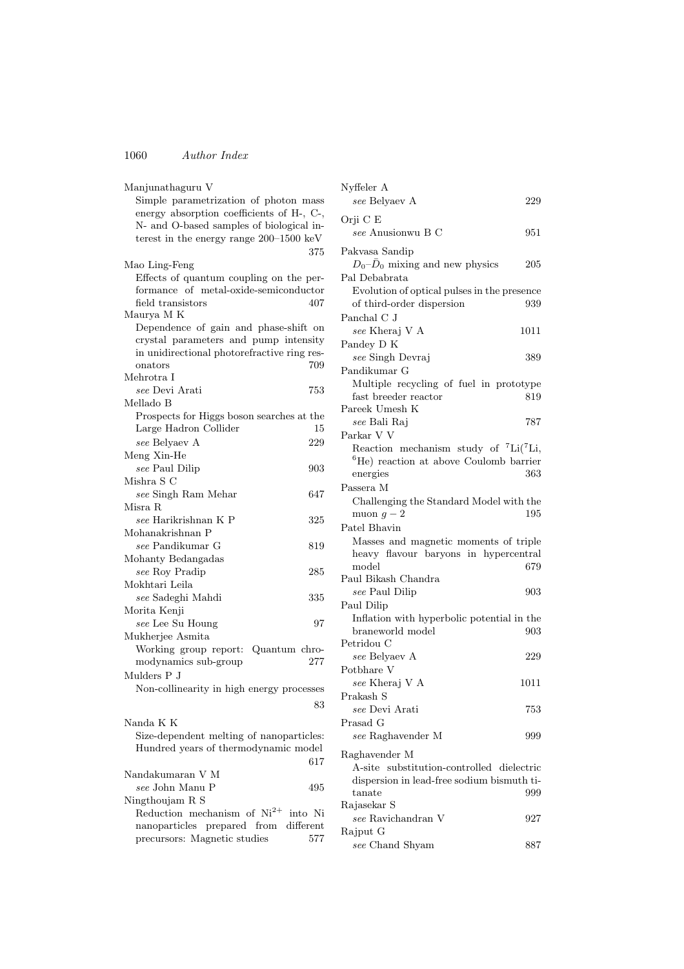| Manjunathaguru V                            |  |
|---------------------------------------------|--|
| Simple parametrization of photon mass       |  |
| energy absorption coefficients of H-, C-,   |  |
| N- and O-based samples of biological in-    |  |
| terest in the energy range $200-1500$ keV   |  |
| 375                                         |  |
| Mao Ling-Feng                               |  |
| Effects of quantum coupling on the per-     |  |
|                                             |  |
| formance of metal-oxide-semiconductor       |  |
| field transistors<br>407                    |  |
| Maurya M K                                  |  |
| Dependence of gain and phase-shift on       |  |
| crystal parameters and pump intensity       |  |
| in unidirectional photorefractive ring res- |  |
| 709<br>onators                              |  |
| Mehrotra I                                  |  |
| see Devi Arati<br>753                       |  |
| Mellado B                                   |  |
| Prospects for Higgs boson searches at the   |  |
| Large Hadron Collider<br>15                 |  |
| 229<br>see Belyaev A                        |  |
| Meng Xin-He                                 |  |
| see Paul Dilip<br>903                       |  |
| Mishra S C                                  |  |
|                                             |  |
| see Singh Ram Mehar<br>647                  |  |
| Misra R                                     |  |
| see Harikrishnan K P<br>325                 |  |
| Mohanakrishnan P                            |  |
| see Pandikumar G<br>819                     |  |
| Mohanty Bedangadas                          |  |
| see Roy Pradip<br>285                       |  |
| Mokhtari Leila                              |  |
| see Sadeghi Mahdi<br>335                    |  |
| Morita Kenji                                |  |
| see Lee Su Houng<br>97                      |  |
| Mukherjee Asmita                            |  |
| Working group report:<br>Quantum chro-      |  |
| modynamics sub-group<br>277                 |  |
| Mulders P J                                 |  |
|                                             |  |
| Non-collinearity in high energy processes   |  |
| 83                                          |  |
| Nanda K K                                   |  |
|                                             |  |
| Size-dependent melting of nanoparticles:    |  |
| Hundred years of thermodynamic model        |  |
| 617                                         |  |
| Nandakumaran V M                            |  |
| $see$ John Manu P<br>495                    |  |
| Ningthoujam R S                             |  |
| Reduction mechanism of $Ni^{2+}$<br>into Ni |  |
| nanoparticles prepared from different       |  |
| precursors: Magnetic studies<br>577         |  |

| Nyffeler A                                                     |      |
|----------------------------------------------------------------|------|
| see Belyaev A                                                  | 229  |
| Orji C E                                                       |      |
| see Anusionwu B C                                              | 951  |
| Pakvasa Sandip                                                 |      |
| $D_0-\bar{D}_0$ mixing and new physics                         | 205  |
| Pal Debabrata                                                  |      |
| Evolution of optical pulses in the presence                    |      |
| of third-order dispersion                                      | 939  |
| Panchal C J                                                    |      |
| see Kheraj V A                                                 | 1011 |
| Pandey D K                                                     |      |
| see Singh Devraj                                               | 389  |
| Pandikumar G                                                   |      |
| Multiple recycling of fuel in prototype                        |      |
| fast breeder reactor                                           | 819  |
| Pareek Umesh K                                                 |      |
| see Bali Raj                                                   | 787  |
| Parkar V V                                                     |      |
| Reaction mechanism study of ${}^{7}Li({}^{7}Li,$               |      |
| <sup>6</sup> He) reaction at above Coulomb barrier<br>energies | 363  |
| Passera M                                                      |      |
| Challenging the Standard Model with the                        |      |
| muon $q-2$                                                     | 195  |
| Patel Bhavin                                                   |      |
| Masses and magnetic moments of triple                          |      |
| heavy flavour baryons in hypercentral                          |      |
| model                                                          | 679  |
| Paul Bikash Chandra                                            |      |
| see Paul Dilip                                                 | 903  |
| Paul Dilip                                                     |      |
| Inflation with hyperbolic potential in the                     |      |
| braneworld model                                               | 903  |
| Petridou C                                                     |      |
| see Belyaev A                                                  | 229  |
| Potbhare V                                                     |      |
| see Kheraj V A<br>Prakash $\mathcal S$                         | 1011 |
| see Devi Arati                                                 | 753  |
| Prasad G                                                       |      |
| see Raghavender M                                              | 999  |
|                                                                |      |
| Raghavender M                                                  |      |
| A-site substitution-controlled dielectric                      |      |
| dispersion in lead-free sodium bismuth ti-<br>tanate           | 999  |
| Rajasekar S                                                    |      |
| <i>see</i> Ravichandran V                                      | 927  |
| Rajput G                                                       |      |
| see Chand Shyam                                                | 887  |
|                                                                |      |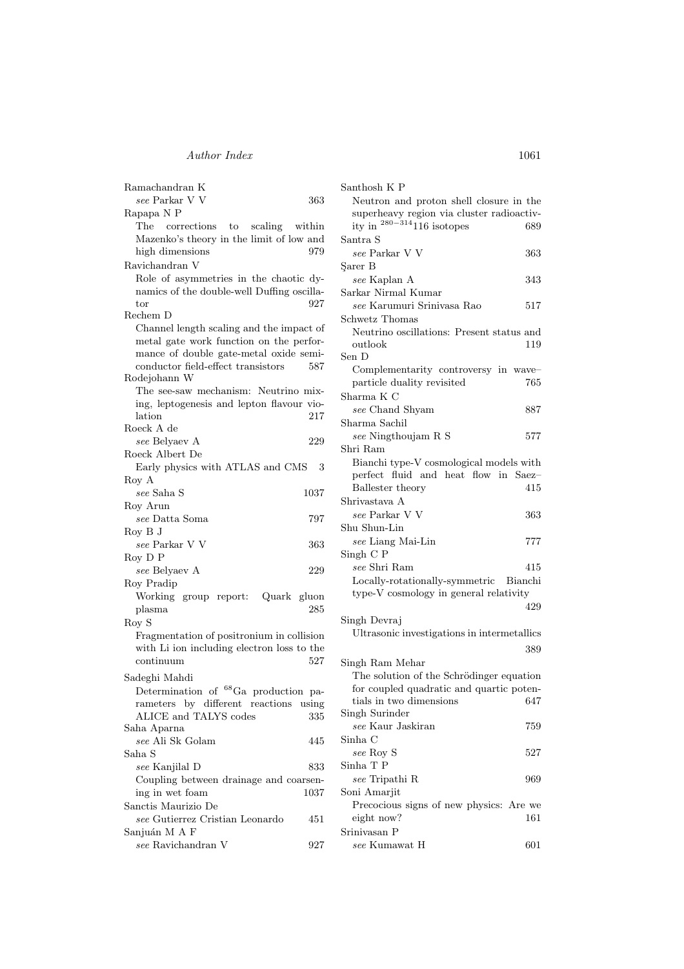## Author Index 1061

| Ramachandran K                                        |       |
|-------------------------------------------------------|-------|
| see Parkar V V                                        | 363   |
| Rapapa N P                                            |       |
| The corrections to scaling within                     |       |
| Mazenko's theory in the limit of low and              |       |
| high dimensions                                       | 979   |
| Ravichandran V                                        |       |
|                                                       |       |
| Role of asymmetries in the chaotic dy-                |       |
| namics of the double-well Duffing oscilla-            |       |
| tor                                                   | 927   |
| Rechem D                                              |       |
| Channel length scaling and the impact of              |       |
| metal gate work function on the perfor-               |       |
| mance of double gate-metal oxide semi-                |       |
| conductor field-effect transistors                    | 587   |
| Rodejohann W                                          |       |
| The see-saw mechanism: Neutrino mix-                  |       |
| ing, leptogenesis and lepton flavour vio-             |       |
| lation                                                | 217   |
| Roeck A de                                            |       |
| see Belyaev A                                         | 229   |
| Roeck Albert De                                       |       |
| Early physics with ATLAS and CMS                      | 3     |
| Roy A                                                 |       |
|                                                       |       |
| see Saha S                                            | 1037  |
| Roy Arun                                              |       |
| see Datta Soma                                        | 797   |
| Row B J                                               |       |
| $see$ Parkar $V$ V                                    | 363   |
| Roy D P                                               |       |
| see Belyaev A                                         | 229   |
| Roy Pradip                                            |       |
| Working group report: Quark gluon                     |       |
| plasma                                                | 285   |
| Roy S                                                 |       |
| Fragmentation of positronium in collision             |       |
| with Li ion including electron loss to the            |       |
|                                                       | 527   |
| continuum                                             |       |
| Sadeghi Mahdi                                         |       |
| ${}^{68}\mathrm{Ga}\;$ production<br>Determination of | pa-   |
| by different<br>rameters<br>reactions                 | using |
| ALICE and TALYS codes                                 | 335   |
| Saha Aparna                                           |       |
| see Ali Sk Golam                                      | 445   |
| Saha S                                                |       |
| see Kanjilal D                                        | 833   |
|                                                       |       |
| Coupling between drainage and coarsen-                |       |
| ing in wet foam                                       | 1037  |
| Sanctis Maurizio De                                   |       |
| see Gutierrez Cristian Leonardo                       | 451   |
| Sanjuán M A F                                         |       |
| see Ravichandran V                                    | 927   |

| Santhosh K P                                                               |     |
|----------------------------------------------------------------------------|-----|
| Neutron and proton shell closure in the                                    |     |
| superheavy region via cluster radioactiv-<br>ity in $280-314$ 116 isotopes |     |
|                                                                            | 689 |
| Santra S                                                                   |     |
| see Parkar V V                                                             | 363 |
| Sarer B                                                                    |     |
| see Kaplan A                                                               | 343 |
| Sarkar Nirmal Kumar                                                        |     |
| see Karumuri Srinivasa Rao                                                 | 517 |
| Schwetz Thomas                                                             |     |
| Neutrino oscillations: Present status and                                  |     |
| outlook                                                                    | 119 |
| Sen D                                                                      |     |
| Complementarity controversy in wave-                                       |     |
| particle duality revisited                                                 | 765 |
| Sharma K C                                                                 |     |
| see Chand Shyam                                                            | 887 |
| Sharma Sachil                                                              |     |
| see Ningthoujam R S                                                        | 577 |
| Shri Ram                                                                   |     |
| Bianchi type-V cosmological models with                                    |     |
| perfect fluid and heat flow in Saez-                                       |     |
| Ballester theory                                                           | 415 |
| Shrivastava A                                                              |     |
| see Parkar V V                                                             | 363 |
| Shu Shun-Lin                                                               |     |
| see Liang Mai-Lin                                                          | 777 |
| Singh C P                                                                  |     |
| see Shri Ram                                                               | 415 |
|                                                                            |     |
| Locally-rotationally-symmetric Bianchi                                     |     |
| type-V cosmology in general relativity                                     |     |
|                                                                            | 429 |
| Singh Devraj                                                               |     |
| Ultrasonic investigations in intermetallics                                |     |
|                                                                            | 389 |
| Singh Ram Mehar                                                            |     |
| The solution of the Schrödinger equation                                   |     |
| for coupled quadratic and quartic poten-                                   |     |
| tials in two dimensions                                                    | 647 |
| Singh Surinder                                                             |     |
| see Kaur Jaskiran                                                          | 759 |
| Sinha C                                                                    |     |
| see Roy S                                                                  | 527 |
| Sinha T P                                                                  |     |
| see Tripathi R                                                             | 969 |
| Soni Amarjit                                                               |     |
| Precocious signs of new physics: Are we                                    |     |
| eight now?                                                                 | 161 |
| Srinivasan P                                                               |     |

 $see\ {\rm Kumawat\ }H\qquad \qquad 601$